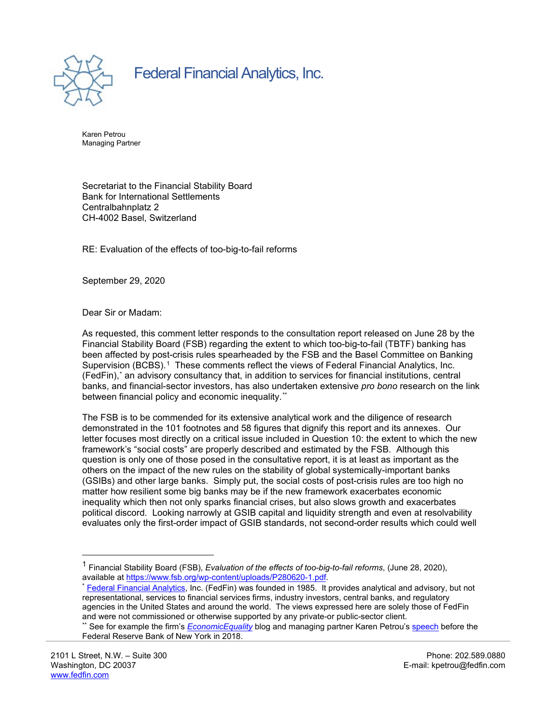

Federal Financial Analytics, Inc.

Karen Petrou Managing Partner

Secretariat to the Financial Stability Board Bank for International Settlements Centralbahnplatz 2 CH-4002 Basel, Switzerland

RE: Evaluation of the effects of too-big-to-fail reforms

September 29, 2020

Dear Sir or Madam:

As requested, this comment letter responds to the consultation report released on June 28 by the Financial Stability Board (FSB) regarding the extent to which too-big-to-fail (TBTF) banking has been affected by post-crisis rules spearheaded by the FSB and the Basel Committee on Banking Supervision (BCBS).<sup>[1](#page-0-0)</sup> These comments reflect the views of Federal Financial Analytics, Inc. (FedFin),[\\*](#page-0-1) an advisory consultancy that, in addition to services for financial institutions, central banks, and financial-sector investors, has also undertaken extensive *pro bono* research on the link between financial policy and economic inequality.[\\*\\*](#page-0-2)

The FSB is to be commended for its extensive analytical work and the diligence of research demonstrated in the 101 footnotes and 58 figures that dignify this report and its annexes. Our letter focuses most directly on a critical issue included in Question 10: the extent to which the new framework's "social costs" are properly described and estimated by the FSB. Although this question is only one of those posed in the consultative report, it is at least as important as the others on the impact of the new rules on the stability of global systemically-important banks (GSIBs) and other large banks. Simply put, the social costs of post-crisis rules are too high no matter how resilient some big banks may be if the new framework exacerbates economic inequality which then not only sparks financial crises, but also slows growth and exacerbates political discord. Looking narrowly at GSIB capital and liquidity strength and even at resolvability evaluates only the first-order impact of GSIB standards, not second-order results which could well

<span id="page-0-0"></span><sup>1</sup> Financial Stability Board (FSB), *Evaluation of the effects of too-big-to-fail reforms*, (June 28, 2020),

<span id="page-0-1"></span><sup>\*</sup> [Federal Financial Analytics,](https://fedfin.com/) Inc. (FedFin) was founded in 1985. It provides analytical and advisory, but not representational, services to financial services firms, industry investors, central banks, and regulatory agencies in the United States and around the world. The views expressed here are solely those of FedFin and were not commissioned or otherwise supported by any private-or public-sector client.

<span id="page-0-2"></span><sup>\*\*</sup> See for example the firm's *[EconomicEquality](https://economicequality.blog/)* blog and managing partner Karen Petrou'[s speech](https://fedfin.com/images/stories/press_center/speeches/Karen%20Petrou%20Remarks%20Prepared%20for%20Distinguished%20Speaker%20Lecture%20Federal%20Reserve%20Bank%20of%20New%20York.pdf) before the Federal Reserve Bank of New York in 2018.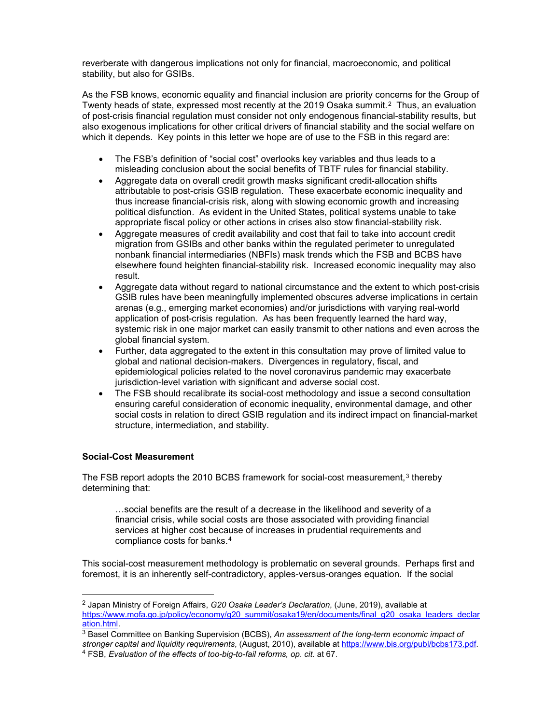reverberate with dangerous implications not only for financial, macroeconomic, and political stability, but also for GSIBs.

As the FSB knows, economic equality and financial inclusion are priority concerns for the Group of Twenty heads of state, expressed most recently at the [2](#page-1-0)019 Osaka summit.<sup>2</sup> Thus, an evaluation of post-crisis financial regulation must consider not only endogenous financial-stability results, but also exogenous implications for other critical drivers of financial stability and the social welfare on which it depends. Key points in this letter we hope are of use to the FSB in this regard are:

- The FSB's definition of "social cost" overlooks key variables and thus leads to a misleading conclusion about the social benefits of TBTF rules for financial stability.
- Aggregate data on overall credit growth masks significant credit-allocation shifts attributable to post-crisis GSIB regulation. These exacerbate economic inequality and thus increase financial-crisis risk, along with slowing economic growth and increasing political disfunction. As evident in the United States, political systems unable to take appropriate fiscal policy or other actions in crises also stow financial-stability risk.
- Aggregate measures of credit availability and cost that fail to take into account credit migration from GSIBs and other banks within the regulated perimeter to unregulated nonbank financial intermediaries (NBFIs) mask trends which the FSB and BCBS have elsewhere found heighten financial-stability risk. Increased economic inequality may also result.
- Aggregate data without regard to national circumstance and the extent to which post-crisis GSIB rules have been meaningfully implemented obscures adverse implications in certain arenas (e.g., emerging market economies) and/or jurisdictions with varying real-world application of post-crisis regulation. As has been frequently learned the hard way, systemic risk in one major market can easily transmit to other nations and even across the global financial system.
- Further, data aggregated to the extent in this consultation may prove of limited value to global and national decision-makers. Divergences in regulatory, fiscal, and epidemiological policies related to the novel coronavirus pandemic may exacerbate jurisdiction-level variation with significant and adverse social cost.
- The FSB should recalibrate its social-cost methodology and issue a second consultation ensuring careful consideration of economic inequality, environmental damage, and other social costs in relation to direct GSIB regulation and its indirect impact on financial-market structure, intermediation, and stability.

### **Social-Cost Measurement**

The FSB report adopts the 2010 BCBS framework for social-cost measurement,<sup>[3](#page-1-1)</sup> thereby determining that:

…social benefits are the result of a decrease in the likelihood and severity of a financial crisis, while social costs are those associated with providing financial services at higher cost because of increases in prudential requirements and compliance costs for banks.[4](#page-1-2)

This social-cost measurement methodology is problematic on several grounds. Perhaps first and foremost, it is an inherently self-contradictory, apples-versus-oranges equation. If the social

<span id="page-1-0"></span><sup>2</sup> Japan Ministry of Foreign Affairs, *G20 Osaka Leader's Declaration*, (June, 2019), available at [https://www.mofa.go.jp/policy/economy/g20\\_summit/osaka19/en/documents/final\\_g20\\_osaka\\_leaders\\_declar](https://www.mofa.go.jp/policy/economy/g20_summit/osaka19/en/documents/final_g20_osaka_leaders_declaration.html) [ation.html.](https://www.mofa.go.jp/policy/economy/g20_summit/osaka19/en/documents/final_g20_osaka_leaders_declaration.html)

<span id="page-1-2"></span><span id="page-1-1"></span><sup>3</sup> Basel Committee on Banking Supervision (BCBS), *An assessment of the long-term economic impact of stronger capital and liquidity requirements*, (August, 2010), available a[t https://www.bis.org/publ/bcbs173.pdf.](https://www.bis.org/publ/bcbs173.pdf) <sup>4</sup> FSB, *Evaluation of the effects of too-big-to-fail reforms, op*. *cit*. at 67.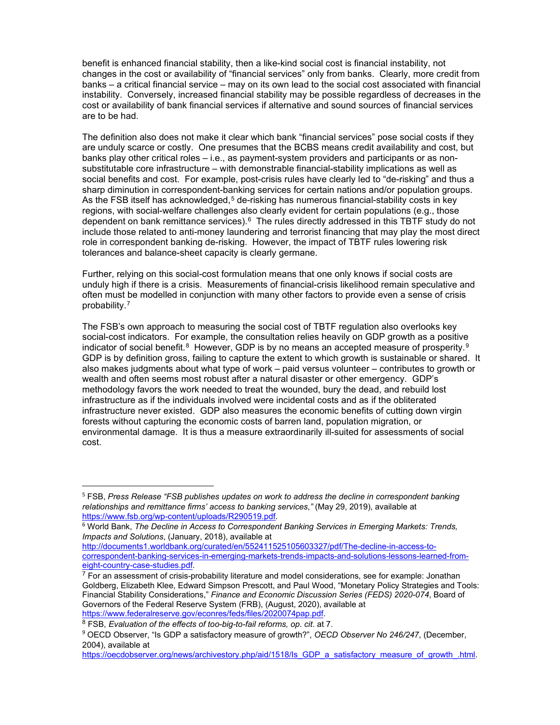benefit is enhanced financial stability, then a like-kind social cost is financial instability, not changes in the cost or availability of "financial services" only from banks. Clearly, more credit from banks – a critical financial service – may on its own lead to the social cost associated with financial instability. Conversely, increased financial stability may be possible regardless of decreases in the cost or availability of bank financial services if alternative and sound sources of financial services are to be had.

The definition also does not make it clear which bank "financial services" pose social costs if they are unduly scarce or costly. One presumes that the BCBS means credit availability and cost, but banks play other critical roles – i.e., as payment-system providers and participants or as nonsubstitutable core infrastructure – with demonstrable financial-stability implications as well as social benefits and cost. For example, post-crisis rules have clearly led to "de-risking" and thus a sharp diminution in correspondent-banking services for certain nations and/or population groups. As the FSB itself has acknowledged,<sup>[5](#page-2-0)</sup> de-risking has numerous financial-stability costs in key regions, with social-welfare challenges also clearly evident for certain populations (e.g., those dependent on bank remittance services).<sup>[6](#page-2-1)</sup> The rules directly addressed in this TBTF study do not include those related to anti-money laundering and terrorist financing that may play the most direct role in correspondent banking de-risking. However, the impact of TBTF rules lowering risk tolerances and balance-sheet capacity is clearly germane.

Further, relying on this social-cost formulation means that one only knows if social costs are unduly high if there is a crisis. Measurements of financial-crisis likelihood remain speculative and often must be modelled in conjunction with many other factors to provide even a sense of crisis probability.[7](#page-2-2)

The FSB's own approach to measuring the social cost of TBTF regulation also overlooks key social-cost indicators. For example, the consultation relies heavily on GDP growth as a positive indicator of social benefit.<sup>[8](#page-2-3)</sup> However, GDP is by no means an accepted measure of prosperity.<sup>9</sup> GDP is by definition gross, failing to capture the extent to which growth is sustainable or shared. It also makes judgments about what type of work – paid versus volunteer – contributes to growth or wealth and often seems most robust after a natural disaster or other emergency. GDP's methodology favors the work needed to treat the wounded, bury the dead, and rebuild lost infrastructure as if the individuals involved were incidental costs and as if the obliterated infrastructure never existed. GDP also measures the economic benefits of cutting down virgin forests without capturing the economic costs of barren land, population migration, or environmental damage. It is thus a measure extraordinarily ill-suited for assessments of social cost.

[http://documents1.worldbank.org/curated/en/552411525105603327/pdf/The-decline-in-access-to](http://documents1.worldbank.org/curated/en/552411525105603327/pdf/The-decline-in-access-to-correspondent-banking-services-in-emerging-markets-trends-impacts-and-solutions-lessons-learned-from-eight-country-case-studies.pdf)[correspondent-banking-services-in-emerging-markets-trends-impacts-and-solutions-lessons-learned-from](http://documents1.worldbank.org/curated/en/552411525105603327/pdf/The-decline-in-access-to-correspondent-banking-services-in-emerging-markets-trends-impacts-and-solutions-lessons-learned-from-eight-country-case-studies.pdf)[eight-country-case-studies.pdf.](http://documents1.worldbank.org/curated/en/552411525105603327/pdf/The-decline-in-access-to-correspondent-banking-services-in-emerging-markets-trends-impacts-and-solutions-lessons-learned-from-eight-country-case-studies.pdf)

<span id="page-2-0"></span><sup>5</sup> FSB, *Press Release "FSB publishes updates on work to address the decline in correspondent banking relationships and remittance firms' access to banking services*,*"* (May 29, 2019), available at [https://www.fsb.org/wp-content/uploads/R290519.pdf.](https://www.fsb.org/wp-content/uploads/R290519.pdf)

<span id="page-2-1"></span><sup>6</sup> World Bank, *The Decline in Access to Correspondent Banking Services in Emerging Markets: Trends, Impacts and Solutions*, (January, 2018), available at

<span id="page-2-2"></span> $7$  For an assessment of crisis-probability literature and model considerations, see for example: Jonathan Goldberg, Elizabeth Klee, Edward Simpson Prescott, and Paul Wood, "Monetary Policy Strategies and Tools: Financial Stability Considerations," *Finance and Economic Discussion Series (FEDS) 2020-074*, Board of Governors of the Federal Reserve System (FRB), (August, 2020), available at [https://www.federalreserve.gov/econres/feds/files/2020074pap.pdf.](https://www.federalreserve.gov/econres/feds/files/2020074pap.pdf) 8 FSB, *Evaluation of the effects of too-big-to-fail reforms, op*. *cit*. at 7.

<span id="page-2-4"></span><span id="page-2-3"></span><sup>9</sup> OECD Observer, "Is GDP a satisfactory measure of growth?", *OECD Observer No 246/247*, (December, 2004), available at

https://oecdobserver.org/news/archivestory.php/aid/1518/Is GDP a satisfactory measure of growth .html.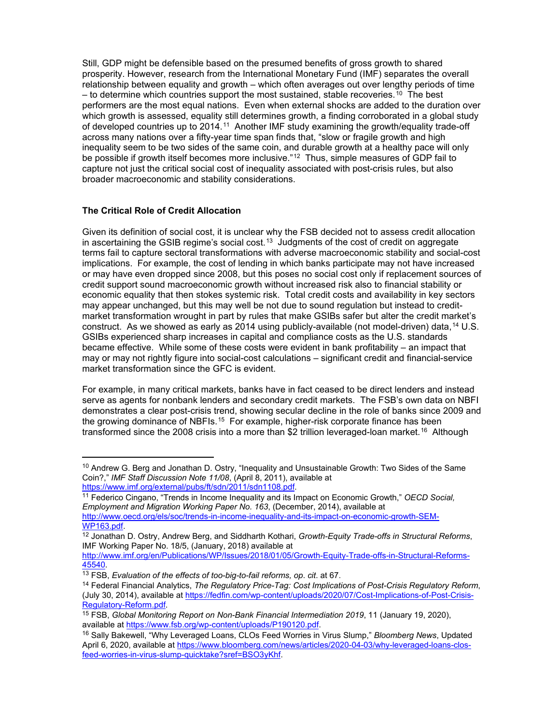Still, GDP might be defensible based on the presumed benefits of gross growth to shared prosperity. However, research from the International Monetary Fund (IMF) separates the overall relationship between equality and growth – which often averages out over lengthy periods of time  $-$  to determine which countries support the most sustained, stable recoveries.<sup>[10](#page-3-0)</sup> The best performers are the most equal nations. Even when external shocks are added to the duration over which growth is assessed, equality still determines growth, a finding corroborated in a global study of developed countries up to 2014.[11](#page-3-1) Another IMF study examining the growth/equality trade-off across many nations over a fifty-year time span finds that, "slow or fragile growth and high inequality seem to be two sides of the same coin, and durable growth at a healthy pace will only be possible if growth itself becomes more inclusive."<sup>[12](#page-3-2)</sup> Thus, simple measures of GDP fail to capture not just the critical social cost of inequality associated with post-crisis rules, but also broader macroeconomic and stability considerations.

# **The Critical Role of Credit Allocation**

Given its definition of social cost, it is unclear why the FSB decided not to assess credit allocation in ascertaining the GSIB regime's social cost.<sup>[13](#page-3-3)</sup> Judgments of the cost of credit on aggregate terms fail to capture sectoral transformations with adverse macroeconomic stability and social-cost implications. For example, the cost of lending in which banks participate may not have increased or may have even dropped since 2008, but this poses no social cost only if replacement sources of credit support sound macroeconomic growth without increased risk also to financial stability or economic equality that then stokes systemic risk. Total credit costs and availability in key sectors may appear unchanged, but this may well be not due to sound regulation but instead to creditmarket transformation wrought in part by rules that make GSIBs safer but alter the credit market's construct. As we showed as early as 20[14](#page-3-4) using publicly-available (not model-driven) data, <sup>14</sup> U.S. GSIBs experienced sharp increases in capital and compliance costs as the U.S. standards became effective. While some of these costs were evident in bank profitability – an impact that may or may not rightly figure into social-cost calculations – significant credit and financial-service market transformation since the GFC is evident.

For example, in many critical markets, banks have in fact ceased to be direct lenders and instead serve as agents for nonbank lenders and secondary credit markets. The FSB's own data on NBFI demonstrates a clear post-crisis trend, showing secular decline in the role of banks since 2009 and the growing dominance of NBFIs.<sup>15</sup> For example, higher-risk corporate finance has been transformed since the 2008 crisis into a more than \$2 trillion leveraged-loan market.<sup>[16](#page-3-6)</sup> Although

<span id="page-3-0"></span><sup>&</sup>lt;sup>10</sup> Andrew G. Berg and Jonathan D. Ostry, "Inequality and Unsustainable Growth: Two Sides of the Same Coin?," *IMF Staff Discussion Note 11/08*, (April 8, 2011), available at

<span id="page-3-1"></span><sup>&</sup>lt;sup>11</sup> Federico Cingano, "Trends in Income Inequality and its Impact on Economic Growth," *OECD Social, Employment and Migration Working Paper No. 163*, (December, 2014), available at [http://www.oecd.org/els/soc/trends-in-income-inequality-and-its-impact-on-economic-growth-SEM-](http://www.oecd.org/els/soc/trends-in-income-inequality-and-its-impact-on-economic-growth-SEM-WP163.pdf)[WP163.pdf.](http://www.oecd.org/els/soc/trends-in-income-inequality-and-its-impact-on-economic-growth-SEM-WP163.pdf)

<span id="page-3-2"></span><sup>12</sup> Jonathan D. Ostry, Andrew Berg, and Siddharth Kothari, *Growth-Equity Trade-offs in Structural Reforms*, IMF Working Paper No. 18/5, (January, 2018) available at

[http://www.imf.org/en/Publications/WP/Issues/2018/01/05/Growth-Equity-Trade-offs-in-Structural-Reforms-](http://www.imf.org/en/Publications/WP/Issues/2018/01/05/Growth-Equity-Trade-offs-in-Structural-Reforms-45540)[45540.](http://www.imf.org/en/Publications/WP/Issues/2018/01/05/Growth-Equity-Trade-offs-in-Structural-Reforms-45540) 13 FSB, *Evaluation of the effects of too-big-to-fail reforms, op*. *cit*. at 67.

<span id="page-3-4"></span><span id="page-3-3"></span><sup>14</sup> Federal Financial Analytics, *The Regulatory Price-Tag: Cost Implications of Post-Crisis Regulatory Reform*, (July 30, 2014), available at [https://fedfin.com/wp-content/uploads/2020/07/Cost-Implications-of-Post-Crisis-](https://fedfin.com/wp-content/uploads/2020/07/Cost-Implications-of-Post-Crisis-Regulatory-Reform.pdf)[Regulatory-Reform.pdf.](https://fedfin.com/wp-content/uploads/2020/07/Cost-Implications-of-Post-Crisis-Regulatory-Reform.pdf)

<span id="page-3-5"></span><sup>&</sup>lt;sup>15</sup> FSB, *Global Monitoring Report on Non-Bank Financial Intermediation 2019*, 11 (January 19, 2020), available at https://www.fsb.org/wp-content/uploads/P190120.pdf.

<span id="page-3-6"></span><sup>&</sup>lt;sup>16</sup> Sally Bakewell, "Why Leveraged Loans, CLOs Feed Worries in Virus Slump," *Bloomberg News*, Updated April 6, 2020, available a[t https://www.bloomberg.com/news/articles/2020-04-03/why-leveraged-loans-clos](https://www.bloomberg.com/news/articles/2020-04-03/why-leveraged-loans-clos-feed-worries-in-virus-slump-quicktake?sref=BSO3yKhf)[feed-worries-in-virus-slump-quicktake?sref=BSO3yKhf.](https://www.bloomberg.com/news/articles/2020-04-03/why-leveraged-loans-clos-feed-worries-in-virus-slump-quicktake?sref=BSO3yKhf)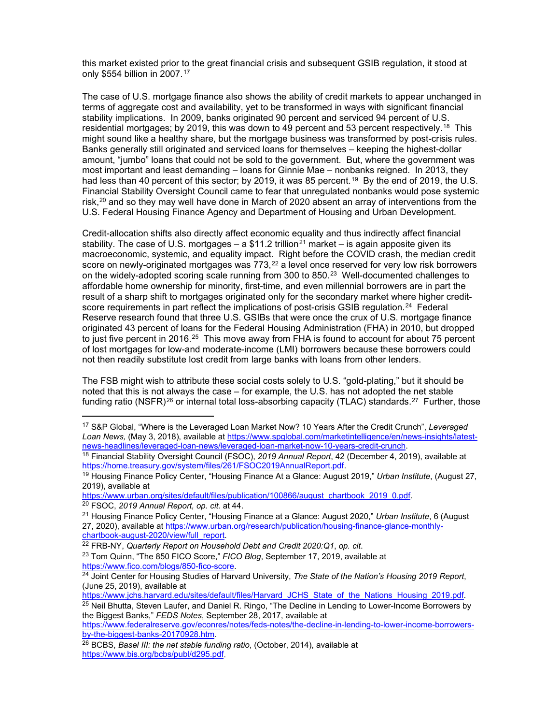this market existed prior to the great financial crisis and subsequent GSIB regulation, it stood at only \$554 billion in 2007.[17](#page-4-0)

The case of U.S. mortgage finance also shows the ability of credit markets to appear unchanged in terms of aggregate cost and availability, yet to be transformed in ways with significant financial stability implications. In 2009, banks originated 90 percent and serviced 94 percent of U.S. residential mortgages; by 2019, this was down to 49 percent and 53 percent respectively.<sup>18</sup> This might sound like a healthy share, but the mortgage business was transformed by post-crisis rules. Banks generally still originated and serviced loans for themselves – keeping the highest-dollar amount, "jumbo" loans that could not be sold to the government. But, where the government was most important and least demanding – loans for Ginnie Mae – nonbanks reigned. In 2013, they had less than 40 percent of this sector; by 20[19](#page-4-2), it was 85 percent.<sup>19</sup> By the end of 2019, the U.S. Financial Stability Oversight Council came to fear that unregulated nonbanks would pose systemic risk, $20$  and so they may well have done in March of 2020 absent an array of interventions from the U.S. Federal Housing Finance Agency and Department of Housing and Urban Development.

Credit-allocation shifts also directly affect economic equality and thus indirectly affect financial stability. The case of U.S. mortgages  $-$  a \$11.2 trillion<sup>[21](#page-4-4)</sup> market  $-$  is again apposite given its macroeconomic, systemic, and equality impact. Right before the COVID crash, the median credit score on newly-originated mortgages was  $773$ , $^{22}$  $^{22}$  $^{22}$  a level once reserved for very low risk borrowers on the widely-adopted scoring scale running from 300 to 850.<sup>23</sup> Well-documented challenges to affordable home ownership for minority, first-time, and even millennial borrowers are in part the result of a sharp shift to mortgages originated only for the secondary market where higher credit-score requirements in part reflect the implications of post-crisis GSIB regulation.<sup>[24](#page-4-7)</sup> Federal Reserve research found that three U.S. GSIBs that were once the crux of U.S. mortgage finance originated 43 percent of loans for the Federal Housing Administration (FHA) in 2010, but dropped to just five percent in 2016.<sup>[25](#page-4-8)</sup> This move away from FHA is found to account for about 75 percent of lost mortgages for low-and moderate-income (LMI) borrowers because these borrowers could not then readily substitute lost credit from large banks with loans from other lenders.

The FSB might wish to attribute these social costs solely to U.S. "gold-plating," but it should be noted that this is not always the case – for example, the U.S. has not adopted the net stable funding ratio (NSFR)<sup>[26](#page-4-9)</sup> or internal total loss-absorbing capacity (TLAC) standards.<sup>[27](#page-4-10)</sup> Further, those

[https://www.urban.org/sites/default/files/publication/100866/august\\_chartbook\\_2019\\_0.pdf.](https://www.urban.org/sites/default/files/publication/100866/august_chartbook_2019_0.pdf) 20 FSOC, *2019 Annual Report, op. cit.* at 44.

<span id="page-4-0"></span><sup>17</sup> S&P Global, "Where is the Leveraged Loan Market Now? 10 Years After the Credit Crunch", *Leveraged Loan News,* (May 3, 2018), available a[t https://www.spglobal.com/marketintelligence/en/news-insights/latest](https://www.spglobal.com/marketintelligence/en/news-insights/latest-news-headlines/leveraged-loan-news/leveraged-loan-market-now-10-years-credit-crunch)[news-headlines/leveraged-loan-news/leveraged-loan-market-now-10-years-credit-crunch.](https://www.spglobal.com/marketintelligence/en/news-insights/latest-news-headlines/leveraged-loan-news/leveraged-loan-market-now-10-years-credit-crunch)

<span id="page-4-1"></span><sup>18</sup> Financial Stability Oversight Council (FSOC), *2019 Annual Report*, 42 (December 4, 2019), available at

<span id="page-4-2"></span><sup>&</sup>lt;sup>19</sup> Housing Finance Policy Center, "Housing Finance At a Glance: August 2019," *Urban Institute*, (August 27, 2019), available at

<span id="page-4-10"></span><span id="page-4-4"></span><span id="page-4-3"></span><sup>21</sup> Housing Finance Policy Center, "Housing Finance at a Glance: August 2020," *Urban Institute*, 6 (August 27, 2020), available at https://www.urban.org/research/publication/housing-finance-glance-monthly-<br>chartbook-august-2020/view/full\_report.

<span id="page-4-6"></span><span id="page-4-5"></span><sup>&</sup>lt;sup>22</sup> FRB-NY, *Quarterly Report on Household Debt and Credit 2020:Q1, op. cit.* <sup>23</sup> Tom Quinn, "The 850 FICO Score," *FICO Blog*, September 17, 2019, available at https://www.fico.com/blogs/850-fico-score.

<span id="page-4-7"></span><sup>&</sup>lt;sup>24</sup> Joint Center for Housing Studies of Harvard University, *The State of the Nation's Housing 2019 Report*, (June 25, 2019), available at

<span id="page-4-8"></span>[https://www.jchs.harvard.edu/sites/default/files/Harvard\\_JCHS\\_State\\_of\\_the\\_Nations\\_Housing\\_2019.pdf.](https://www.jchs.harvard.edu/sites/default/files/Harvard_JCHS_State_of_the_Nations_Housing_2019.pdf) <sup>25</sup> Neil Bhutta, Steven Laufer, and Daniel R. Ringo, "The Decline in Lending to Lower-Income Borrowers by the Biggest Banks," *FEDS Notes*, September 28, 2017, available at

[https://www.federalreserve.gov/econres/notes/feds-notes/the-decline-in-lending-to-lower-income-borrowers](https://www.federalreserve.gov/econres/notes/feds-notes/the-decline-in-lending-to-lower-income-borrowers-by-the-biggest-banks-20170928.htm)[by-the-biggest-banks-20170928.htm.](https://www.federalreserve.gov/econres/notes/feds-notes/the-decline-in-lending-to-lower-income-borrowers-by-the-biggest-banks-20170928.htm)

<span id="page-4-9"></span><sup>26</sup> BCBS, *Basel III: the net stable funding ratio*, (October, 2014), available at [https://www.bis.org/bcbs/publ/d295.pdf.](https://www.bis.org/bcbs/publ/d295.pdf)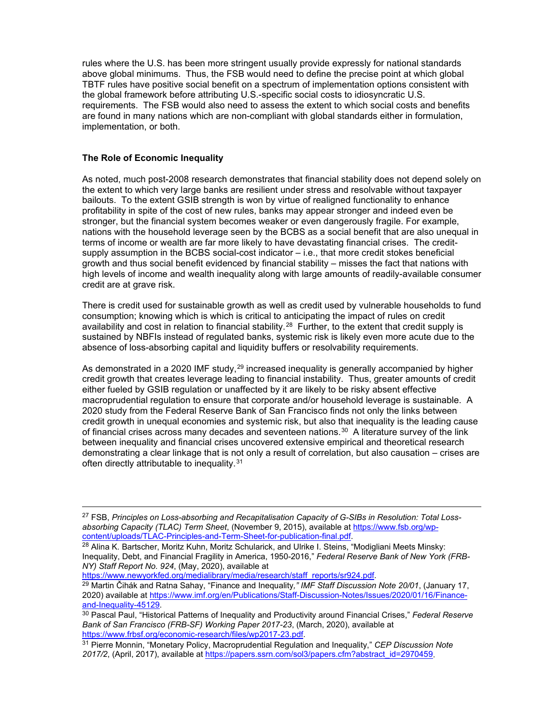rules where the U.S. has been more stringent usually provide expressly for national standards above global minimums. Thus, the FSB would need to define the precise point at which global TBTF rules have positive social benefit on a spectrum of implementation options consistent with the global framework before attributing U.S.-specific social costs to idiosyncratic U.S. requirements. The FSB would also need to assess the extent to which social costs and benefits are found in many nations which are non-compliant with global standards either in formulation, implementation, or both.

### **The Role of Economic Inequality**

As noted, much post-2008 research demonstrates that financial stability does not depend solely on the extent to which very large banks are resilient under stress and resolvable without taxpayer bailouts. To the extent GSIB strength is won by virtue of realigned functionality to enhance profitability in spite of the cost of new rules, banks may appear stronger and indeed even be stronger, but the financial system becomes weaker or even dangerously fragile. For example, nations with the household leverage seen by the BCBS as a social benefit that are also unequal in terms of income or wealth are far more likely to have devastating financial crises. The creditsupply assumption in the BCBS social-cost indicator – i.e., that more credit stokes beneficial growth and thus social benefit evidenced by financial stability – misses the fact that nations with high levels of income and wealth inequality along with large amounts of readily-available consumer credit are at grave risk.

There is credit used for sustainable growth as well as credit used by vulnerable households to fund consumption; knowing which is which is critical to anticipating the impact of rules on credit availability and cost in relation to financial stability.<sup>[28](#page-5-0)</sup> Further, to the extent that credit supply is sustained by NBFIs instead of regulated banks, systemic risk is likely even more acute due to the absence of loss-absorbing capital and liquidity buffers or resolvability requirements.

As demonstrated in a 2020 IMF study,<sup>[29](#page-5-1)</sup> increased inequality is generally accompanied by higher credit growth that creates leverage leading to financial instability. Thus, greater amounts of credit either fueled by GSIB regulation or unaffected by it are likely to be risky absent effective macroprudential regulation to ensure that corporate and/or household leverage is sustainable. A 2020 study from the Federal Reserve Bank of San Francisco finds not only the links between credit growth in unequal economies and systemic risk, but also that inequality is the leading cause of financial crises across many decades and seventeen nations. $30$  A literature survey of the link between inequality and financial crises uncovered extensive empirical and theoretical research demonstrating a clear linkage that is not only a result of correlation, but also causation – crises are often directly attributable to inequality.<sup>31</sup>

<span id="page-5-1"></span><sup>29</sup> Martin Čihák and Ratna Sahay, "Finance and Inequality," IMF Staff Discussion Note 20/01, (January 17, 2020) available a[t https://www.imf.org/en/Publications/Staff-Discussion-Notes/Issues/2020/01/16/Finance](https://www.imf.org/en/Publications/Staff-Discussion-Notes/Issues/2020/01/16/Finance-and-Inequality-45129)[and-Inequality-45129.](https://www.imf.org/en/Publications/Staff-Discussion-Notes/Issues/2020/01/16/Finance-and-Inequality-45129)

<sup>27</sup> FSB, *Principles on Loss-absorbing and Recapitalisation Capacity of G-SIBs in Resolution: Total Lossabsorbing Capacity (TLAC) Term Sheet*, (November 9, 2015), available at [https://www.fsb.org/wp](https://www.fsb.org/wp-content/uploads/TLAC-Principles-and-Term-Sheet-for-publication-final.pdf)[content/uploads/TLAC-Principles-and-Term-Sheet-for-publication-final.pdf.](https://www.fsb.org/wp-content/uploads/TLAC-Principles-and-Term-Sheet-for-publication-final.pdf)

<span id="page-5-0"></span><sup>&</sup>lt;sup>28</sup> Alina K. Bartscher, Moritz Kuhn, Moritz Schularick, and Ulrike I. Steins, "Modigliani Meets Minsky: Inequality, Debt, and Financial Fragility in America, 1950-2016," *Federal Reserve Bank of New York (FRB-NY) Staff Report No. 924*, (May, 2020), available at

<span id="page-5-2"></span><sup>30</sup> Pascal Paul, "Historical Patterns of Inequality and Productivity around Financial Crises," *Federal Reserve Bank of San Francisco (FRB-SF) Working Paper 2017-23*, (March, 2020), available at

<span id="page-5-3"></span> $\frac{1}{31}$  Pierre Monnin, "Monetary Policy, Macroprudential Regulation and Inequality," *CEP Discussion Note 2017/2*, (April, 2017), available a[t https://papers.ssrn.com/sol3/papers.cfm?abstract\\_id=2970459.](https://papers.ssrn.com/sol3/papers.cfm?abstract_id=2970459)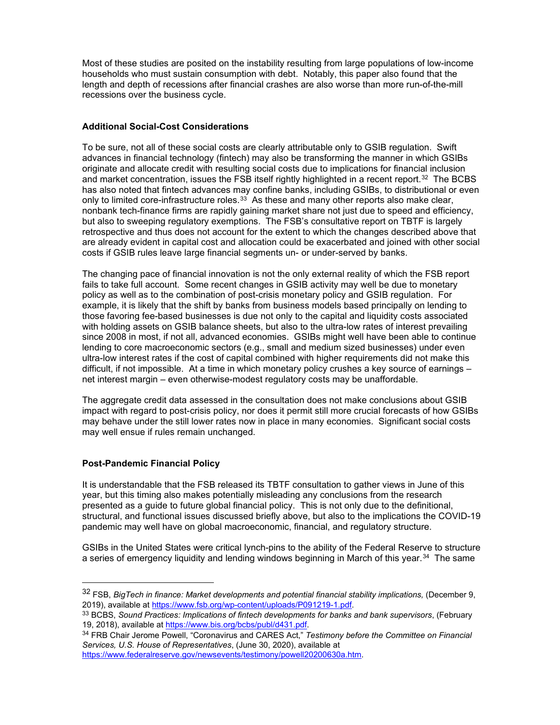Most of these studies are posited on the instability resulting from large populations of low-income households who must sustain consumption with debt. Notably, this paper also found that the length and depth of recessions after financial crashes are also worse than more run-of-the-mill recessions over the business cycle.

## **Additional Social-Cost Considerations**

To be sure, not all of these social costs are clearly attributable only to GSIB regulation. Swift advances in financial technology (fintech) may also be transforming the manner in which GSIBs originate and allocate credit with resulting social costs due to implications for financial inclusion and market concentration, issues the FSB itself rightly highlighted in a recent report.<sup>[32](#page-6-0)</sup> The BCBS has also noted that fintech advances may confine banks, including GSIBs, to distributional or even only to limited core-infrastructure roles. $33$  As these and many other reports also make clear, nonbank tech-finance firms are rapidly gaining market share not just due to speed and efficiency, but also to sweeping regulatory exemptions. The FSB's consultative report on TBTF is largely retrospective and thus does not account for the extent to which the changes described above that are already evident in capital cost and allocation could be exacerbated and joined with other social costs if GSIB rules leave large financial segments un- or under-served by banks.

The changing pace of financial innovation is not the only external reality of which the FSB report fails to take full account. Some recent changes in GSIB activity may well be due to monetary policy as well as to the combination of post-crisis monetary policy and GSIB regulation. For example, it is likely that the shift by banks from business models based principally on lending to those favoring fee-based businesses is due not only to the capital and liquidity costs associated with holding assets on GSIB balance sheets, but also to the ultra-low rates of interest prevailing since 2008 in most, if not all, advanced economies. GSIBs might well have been able to continue lending to core macroeconomic sectors (e.g., small and medium sized businesses) under even ultra-low interest rates if the cost of capital combined with higher requirements did not make this difficult, if not impossible. At a time in which monetary policy crushes a key source of earnings – net interest margin – even otherwise-modest regulatory costs may be unaffordable.

The aggregate credit data assessed in the consultation does not make conclusions about GSIB impact with regard to post-crisis policy, nor does it permit still more crucial forecasts of how GSIBs may behave under the still lower rates now in place in many economies. Significant social costs may well ensue if rules remain unchanged.

# **Post-Pandemic Financial Policy**

It is understandable that the FSB released its TBTF consultation to gather views in June of this year, but this timing also makes potentially misleading any conclusions from the research presented as a guide to future global financial policy. This is not only due to the definitional, structural, and functional issues discussed briefly above, but also to the implications the COVID-19 pandemic may well have on global macroeconomic, financial, and regulatory structure.

GSIBs in the United States were critical lynch-pins to the ability of the Federal Reserve to structure a series of emergency liquidity and lending windows beginning in March of this year.<sup>[34](#page-6-2)</sup> The same

<span id="page-6-0"></span><sup>32</sup> FSB, *BigTech in finance: Market developments and potential financial stability implications,* (December 9, 2019), available at [https://www.fsb.org/wp-content/uploads/P091219-1.pdf.](https://www.fsb.org/wp-content/uploads/P091219-1.pdf)

<span id="page-6-1"></span><sup>33</sup> BCBS, *Sound Practices: Implications of fintech developments for banks and bank supervisors*, (February

<span id="page-6-2"></span><sup>&</sup>lt;sup>34</sup> FRB Chair Jerome Powell, "Coronavirus and CARES Act," *Testimony before the Committee on Financial Services, U.S. House of Representatives*, (June 30, 2020), available at [https://www.federalreserve.gov/newsevents/testimony/powell20200630a.htm.](https://www.federalreserve.gov/newsevents/testimony/powell20200630a.htm)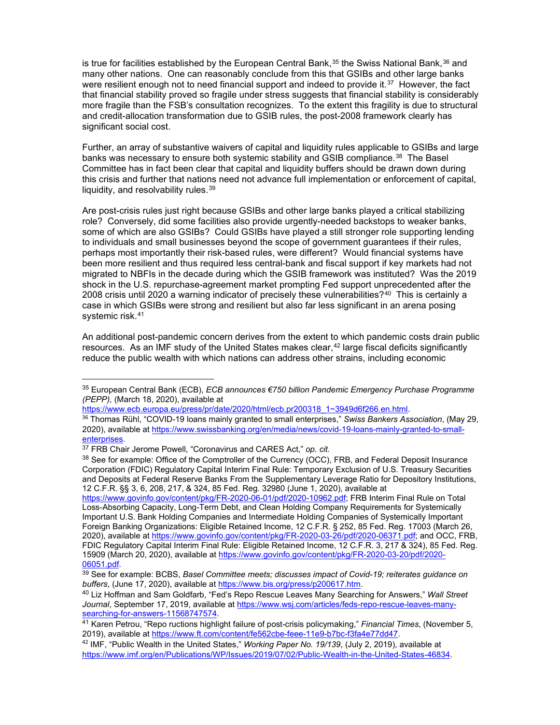is true for facilities established by the European Central Bank,  $35$  the Swiss National Bank,  $36$  and many other nations. One can reasonably conclude from this that GSIBs and other large banks were resilient enough not to need financial support and indeed to provide it.<sup>37</sup> However, the fact that financial stability proved so fragile under stress suggests that financial stability is considerably more fragile than the FSB's consultation recognizes. To the extent this fragility is due to structural and credit-allocation transformation due to GSIB rules, the post-2008 framework clearly has significant social cost.

Further, an array of substantive waivers of capital and liquidity rules applicable to GSIBs and large banks was necessary to ensure both systemic stability and GSIB compliance.<sup>[38](#page-7-3)</sup> The Basel Committee has in fact been clear that capital and liquidity buffers should be drawn down during this crisis and further that nations need not advance full implementation or enforcement of capital, liquidity, and resolvability rules.[39](#page-7-4)

Are post-crisis rules just right because GSIBs and other large banks played a critical stabilizing role? Conversely, did some facilities also provide urgently-needed backstops to weaker banks, some of which are also GSIBs? Could GSIBs have played a still stronger role supporting lending to individuals and small businesses beyond the scope of government guarantees if their rules, perhaps most importantly their risk-based rules, were different? Would financial systems have been more resilient and thus required less central-bank and fiscal support if key markets had not migrated to NBFIs in the decade during which the GSIB framework was instituted? Was the 2019 shock in the U.S. repurchase-agreement market prompting Fed support unprecedented after the 2008 crisis until 2020 a warning indicator of precisely these vulnerabilities?<sup>[40](#page-7-5)</sup> This is certainly a case in which GSIBs were strong and resilient but also far less significant in an arena posing systemic risk.<sup>41</sup>

An additional post-pandemic concern derives from the extent to which pandemic costs drain public resources. As an IMF study of the United States makes clear,<sup>[42](#page-7-7)</sup> large fiscal deficits significantly reduce the public wealth with which nations can address other strains, including economic

[https://www.ecb.europa.eu/press/pr/date/2020/html/ecb.pr200318\\_1~3949d6f266.en.html.](https://www.ecb.europa.eu/press/pr/date/2020/html/ecb.pr200318_1%7E3949d6f266.en.html)

<span id="page-7-0"></span><sup>35</sup> European Central Bank (ECB), *ECB announces €750 billion Pandemic Emergency Purchase Programme (PEPP),* (March 18, 2020), available at

<span id="page-7-1"></span><sup>36</sup> Thomas Rühl, "COVID-19 loans mainly granted to small enterprises," *Swiss Bankers Association*, (May 29, 2020), available at [https://www.swissbanking.org/en/media/news/covid-19-loans-mainly-granted-to-small](https://www.swissbanking.org/en/media/news/covid-19-loans-mainly-granted-to-small-enterprises)[enterprises.](https://www.swissbanking.org/en/media/news/covid-19-loans-mainly-granted-to-small-enterprises)

<span id="page-7-2"></span><sup>37</sup> FRB Chair Jerome Powell, "Coronavirus and CARES Act," *op. cit.*

<span id="page-7-3"></span><sup>&</sup>lt;sup>38</sup> See for example: Office of the Comptroller of the Currency (OCC), FRB, and Federal Deposit Insurance Corporation (FDIC) Regulatory Capital Interim Final Rule: Temporary Exclusion of U.S. Treasury Securities and Deposits at Federal Reserve Banks From the Supplementary Leverage Ratio for Depository Institutions, 12 C.F.R. §§ 3, 6, 208, 217, & 324, 85 Fed. Reg. 32980 (June 1, 2020), available at

[https://www.govinfo.gov/content/pkg/FR-2020-06-01/pdf/2020-10962.pdf;](https://www.govinfo.gov/content/pkg/FR-2020-06-01/pdf/2020-10962.pdf) FRB Interim Final Rule on Total Loss-Absorbing Capacity, Long-Term Debt, and Clean Holding Company Requirements for Systemically Important U.S. Bank Holding Companies and Intermediate Holding Companies of Systemically Important Foreign Banking Organizations: Eligible Retained Income, 12 C.F.R. § 252, 85 Fed. Reg. 17003 (March 26, 2020), available at [https://www.govinfo.gov/content/pkg/FR-2020-03-26/pdf/2020-06371.pdf;](https://www.govinfo.gov/content/pkg/FR-2020-03-26/pdf/2020-06371.pdf) and OCC, FRB, FDIC Regulatory Capital Interim Final Rule: Eligible Retained Income, 12 C.F.R. 3, 217 & 324), 85 Fed. Reg. 15909 (March 20, 2020), available at <u>https://www.govinfo.gov/content/pkg/FR-2020-03-20/pdf/2020-</u><br>06051.pdf.

<span id="page-7-4"></span><sup>&</sup>lt;sup>39</sup> See for example: BCBS, *Basel Committee meets; discusses impact of Covid-19; reiterates guidance on <i>buffers*, (June 17, 2020), available at https://www.bis.org/press/p200617.htm.

<span id="page-7-5"></span><sup>&</sup>lt;sup>40</sup> Liz Hoffman and Sam Goldfarb, "Fed's Repo Rescue Leaves Many Searching for Answers," *Wall Street* Journal, September 17, 2019, available at https://www.wsj.com/articles/feds-repo-rescue-leaves-many-<br>searching-for-answers-11568747574.

<span id="page-7-6"></span><sup>&</sup>lt;sup>41</sup> Karen Petrou, "Repo ructions highlight failure of post-crisis policymaking," *Financial Times*, (November 5, 2019), available at [https://www.ft.com/content/fe562cbe-feee-11e9-b7bc-f3fa4e77dd47.](https://www.ft.com/content/fe562cbe-feee-11e9-b7bc-f3fa4e77dd47)

<span id="page-7-7"></span><sup>42</sup> IMF, "Public Wealth in the United States," *Working Paper No. 19/139*, (July 2, 2019), available at [https://www.imf.org/en/Publications/WP/Issues/2019/07/02/Public-Wealth-in-the-United-States-46834.](https://www.imf.org/en/Publications/WP/Issues/2019/07/02/Public-Wealth-in-the-United-States-46834)